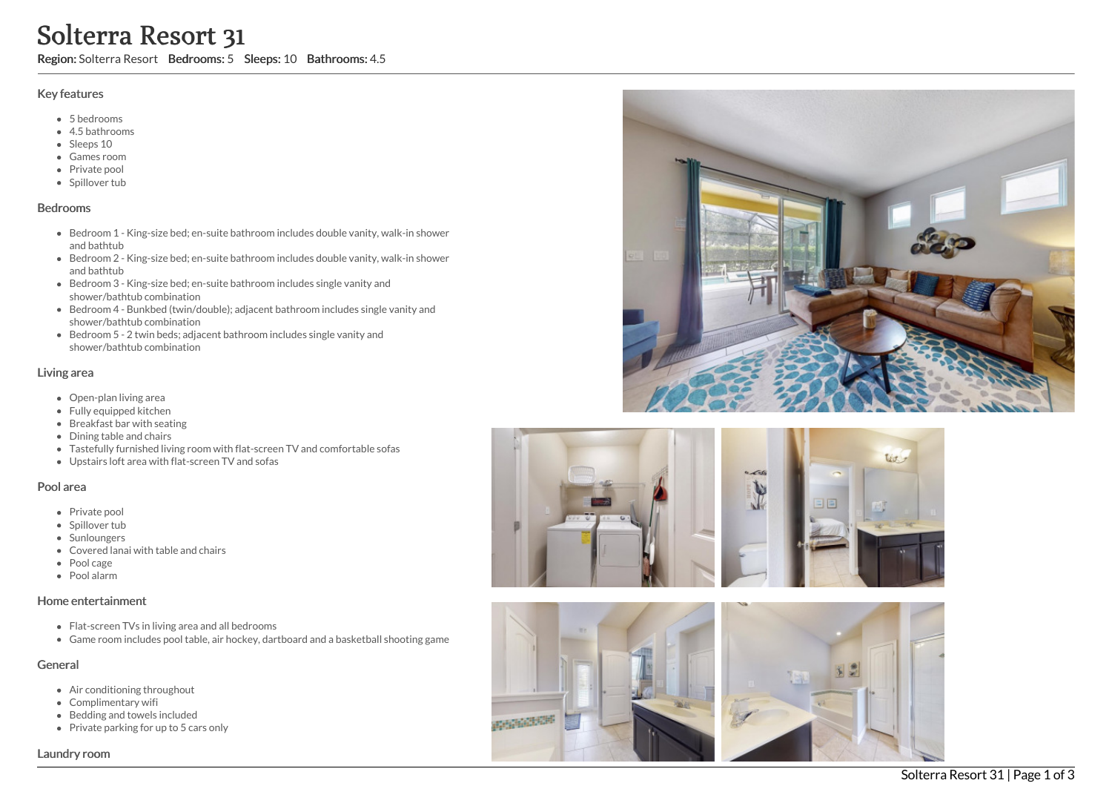# Solterra Resort 31

Region: Solterra Resort Bedrooms: 5 Sleeps: 10 Bathrooms: 4.5

#### Key features

- 5 b e d r o o m s
- 4.5 b a t h r o o m s
- Sleeps 10
- Games room
- Private pool
- Spillover tub

#### **Bedrooms**

- Bedroom 1 King-size bed; en-suite bathroom includes double vanity, walk-in shower a n d b a t h t u b
- Bedroom 2 King-size bed; en-suite bathroom includes double vanity, walk-in shower and bathtub
- Bedroom 3 King-size bed; en-suite bathroom includes single vanity and shower/bathtub combination
- Bedroom 4 Bunkbed (twin/double); adjacent bathroom includes single vanity and shower/bathtub combination
- Bedroom 5 2 twin beds; adjacent bathroom includes single vanity and shower/bathtub combination

#### Living area

- Open-plan living area
- Fully equipped kitchen
- Breakfast bar with seating
- Dining table and chairs
- Tastefully furnished living room with flat-screen TV and comfortable sofas
- Upstairs loft area with flat-screen TV and sofas

#### Pool area

- Private pool
- Spillover tub
- Sunloungers
- Covered lanai with table and chairs
- Pool cage
- P o ol ala r m

## Home entertainment

- Flat-screen TVs in living area and all bedrooms
- Game room includes pool table, air hockey, dartboard and a basketball shooting game

## General

- Air conditioning throughout
- Complimentary wifi
- Bedding and towels included
- Private parking for up to 5 cars only









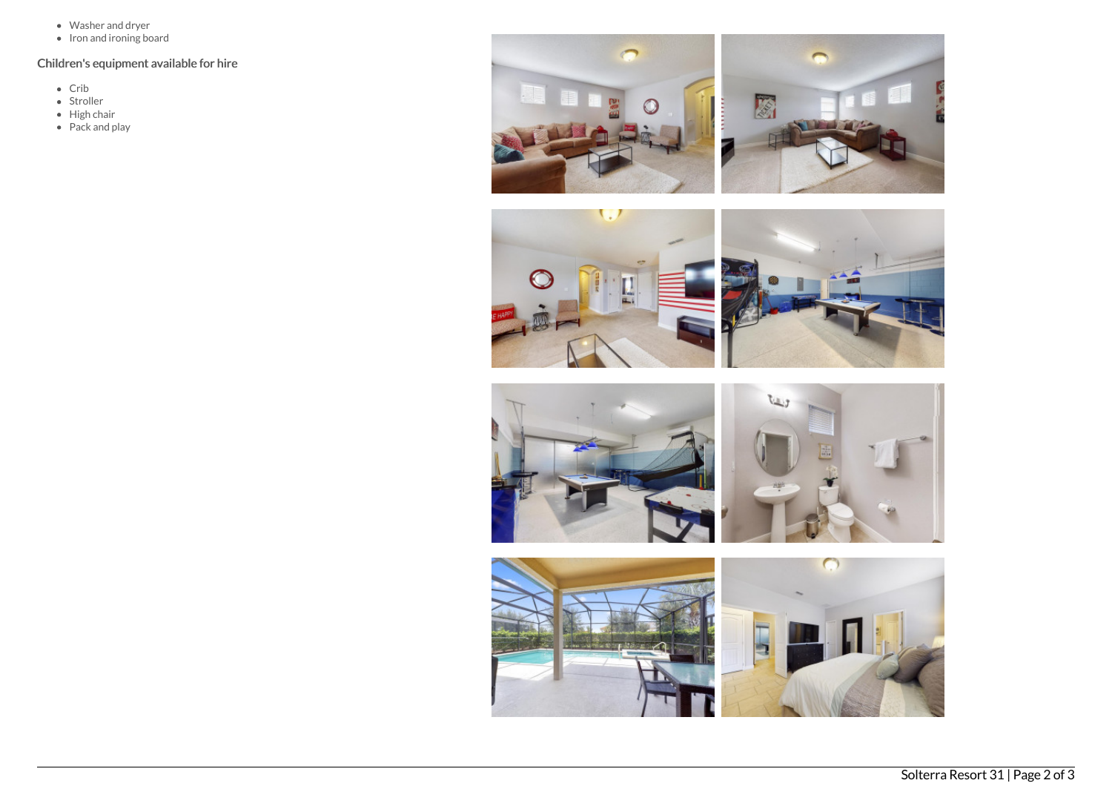- Washer and dryer
- Iron and ironing board

# Children's equipment available for hire

- Crib
- Stroller
- High chair
- Pack and play